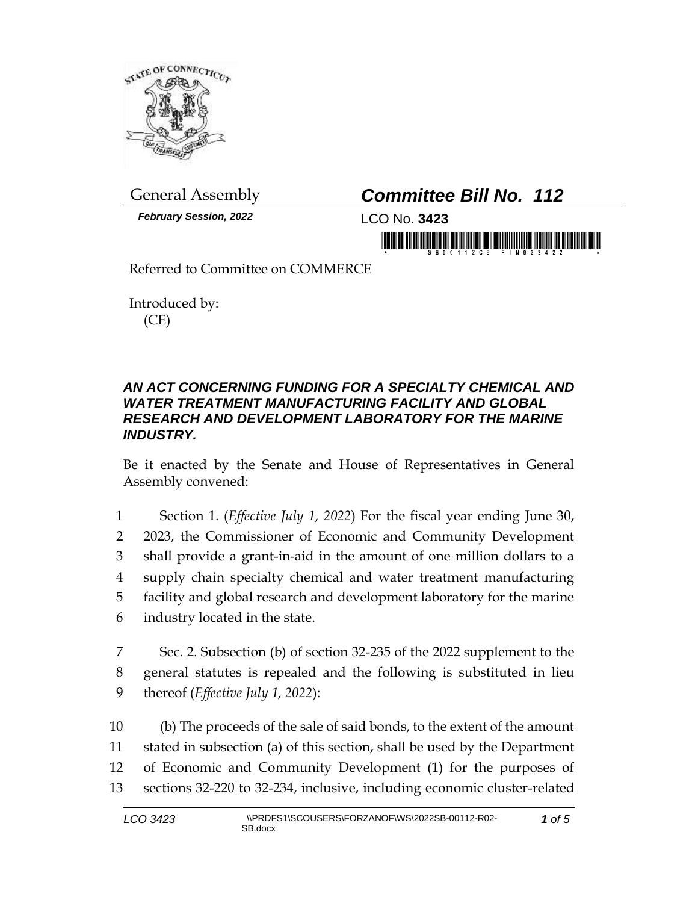

*February Session, 2022* LCO No. **3423**

## General Assembly *Committee Bill No. 112*

in mornini il bibinini ili notubi bibini ili

Referred to Committee on COMMERCE

Introduced by: (CE)

## *AN ACT CONCERNING FUNDING FOR A SPECIALTY CHEMICAL AND WATER TREATMENT MANUFACTURING FACILITY AND GLOBAL RESEARCH AND DEVELOPMENT LABORATORY FOR THE MARINE INDUSTRY.*

Be it enacted by the Senate and House of Representatives in General Assembly convened:

 Section 1. (*Effective July 1, 2022*) For the fiscal year ending June 30, 2023, the Commissioner of Economic and Community Development shall provide a grant-in-aid in the amount of one million dollars to a supply chain specialty chemical and water treatment manufacturing facility and global research and development laboratory for the marine industry located in the state.

7 Sec. 2. Subsection (b) of section 32-235 of the 2022 supplement to the 8 general statutes is repealed and the following is substituted in lieu 9 thereof (*Effective July 1, 2022*):

 (b) The proceeds of the sale of said bonds, to the extent of the amount stated in subsection (a) of this section, shall be used by the Department of Economic and Community Development (1) for the purposes of sections 32-220 to 32-234, inclusive, including economic cluster-related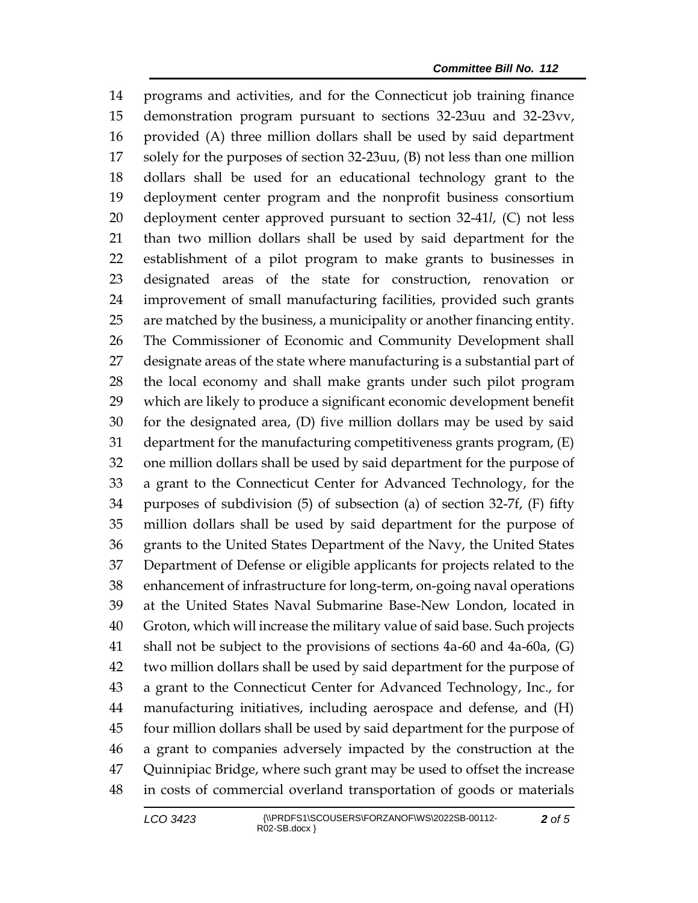programs and activities, and for the Connecticut job training finance demonstration program pursuant to sections 32-23uu and 32-23vv, provided (A) three million dollars shall be used by said department solely for the purposes of section 32-23uu, (B) not less than one million dollars shall be used for an educational technology grant to the deployment center program and the nonprofit business consortium deployment center approved pursuant to section 32-41*l*, (C) not less than two million dollars shall be used by said department for the establishment of a pilot program to make grants to businesses in designated areas of the state for construction, renovation or improvement of small manufacturing facilities, provided such grants are matched by the business, a municipality or another financing entity. The Commissioner of Economic and Community Development shall designate areas of the state where manufacturing is a substantial part of the local economy and shall make grants under such pilot program which are likely to produce a significant economic development benefit for the designated area, (D) five million dollars may be used by said department for the manufacturing competitiveness grants program, (E) one million dollars shall be used by said department for the purpose of a grant to the Connecticut Center for Advanced Technology, for the purposes of subdivision (5) of subsection (a) of section 32-7f, (F) fifty million dollars shall be used by said department for the purpose of grants to the United States Department of the Navy, the United States Department of Defense or eligible applicants for projects related to the enhancement of infrastructure for long-term, on-going naval operations at the United States Naval Submarine Base-New London, located in Groton, which will increase the military value of said base. Such projects shall not be subject to the provisions of sections 4a-60 and 4a-60a, (G) two million dollars shall be used by said department for the purpose of a grant to the Connecticut Center for Advanced Technology, Inc., for manufacturing initiatives, including aerospace and defense, and (H) four million dollars shall be used by said department for the purpose of a grant to companies adversely impacted by the construction at the Quinnipiac Bridge, where such grant may be used to offset the increase in costs of commercial overland transportation of goods or materials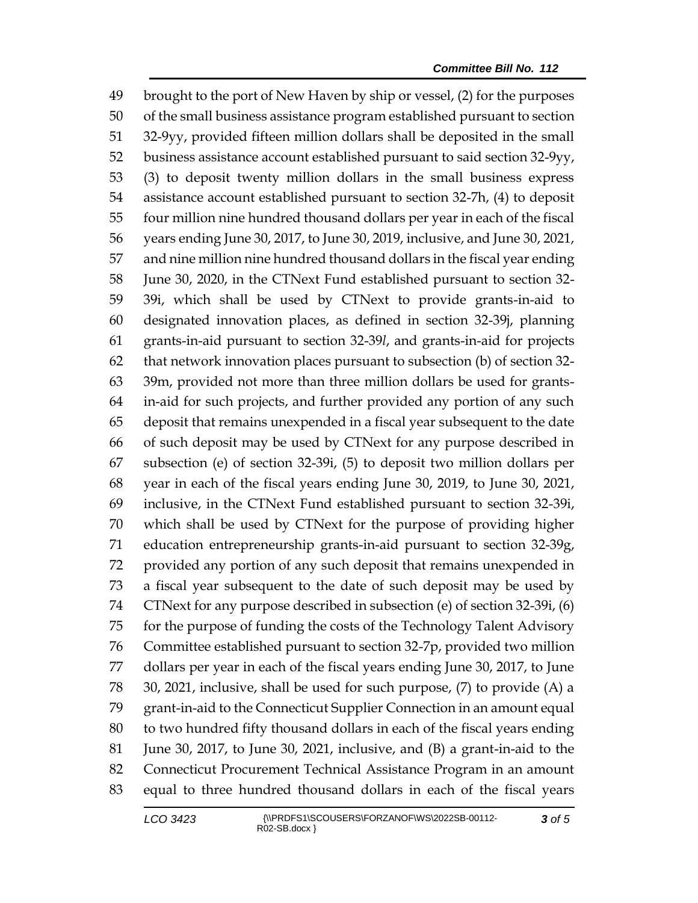brought to the port of New Haven by ship or vessel, (2) for the purposes of the small business assistance program established pursuant to section 32-9yy, provided fifteen million dollars shall be deposited in the small business assistance account established pursuant to said section 32-9yy, (3) to deposit twenty million dollars in the small business express assistance account established pursuant to section 32-7h, (4) to deposit four million nine hundred thousand dollars per year in each of the fiscal years ending June 30, 2017, to June 30, 2019, inclusive, and June 30, 2021, and nine million nine hundred thousand dollars in the fiscal year ending June 30, 2020, in the CTNext Fund established pursuant to section 32- 39i, which shall be used by CTNext to provide grants-in-aid to designated innovation places, as defined in section 32-39j, planning grants-in-aid pursuant to section 32-39*l*, and grants-in-aid for projects that network innovation places pursuant to subsection (b) of section 32- 39m, provided not more than three million dollars be used for grants- in-aid for such projects, and further provided any portion of any such deposit that remains unexpended in a fiscal year subsequent to the date of such deposit may be used by CTNext for any purpose described in subsection (e) of section 32-39i, (5) to deposit two million dollars per year in each of the fiscal years ending June 30, 2019, to June 30, 2021, inclusive, in the CTNext Fund established pursuant to section 32-39i, which shall be used by CTNext for the purpose of providing higher education entrepreneurship grants-in-aid pursuant to section 32-39g, provided any portion of any such deposit that remains unexpended in a fiscal year subsequent to the date of such deposit may be used by CTNext for any purpose described in subsection (e) of section 32-39i, (6) for the purpose of funding the costs of the Technology Talent Advisory Committee established pursuant to section 32-7p, provided two million dollars per year in each of the fiscal years ending June 30, 2017, to June 30, 2021, inclusive, shall be used for such purpose, (7) to provide (A) a grant-in-aid to the Connecticut Supplier Connection in an amount equal to two hundred fifty thousand dollars in each of the fiscal years ending June 30, 2017, to June 30, 2021, inclusive, and (B) a grant-in-aid to the Connecticut Procurement Technical Assistance Program in an amount equal to three hundred thousand dollars in each of the fiscal years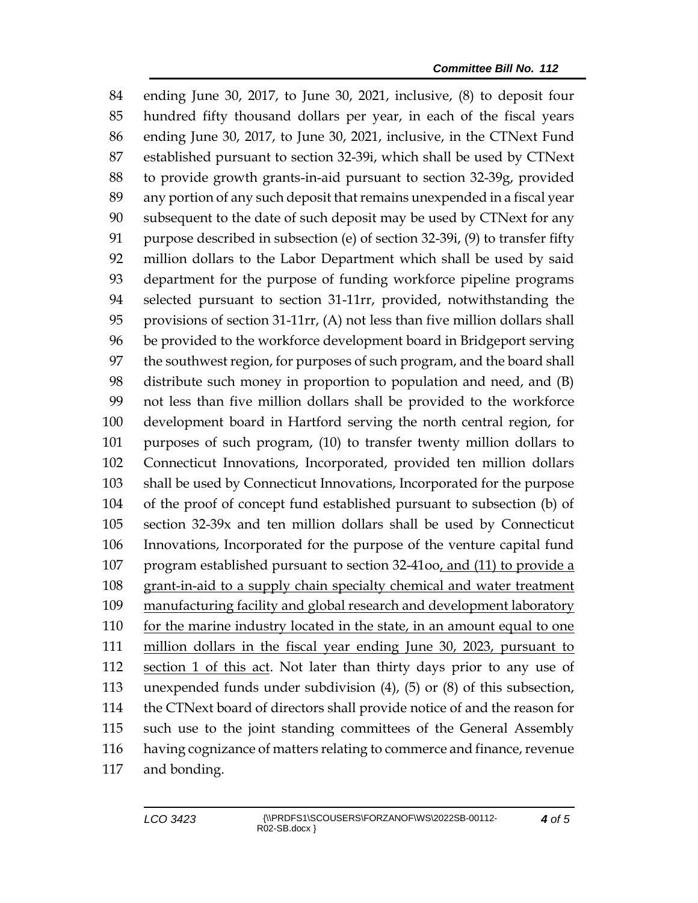ending June 30, 2017, to June 30, 2021, inclusive, (8) to deposit four hundred fifty thousand dollars per year, in each of the fiscal years ending June 30, 2017, to June 30, 2021, inclusive, in the CTNext Fund established pursuant to section 32-39i, which shall be used by CTNext to provide growth grants-in-aid pursuant to section 32-39g, provided any portion of any such deposit that remains unexpended in a fiscal year subsequent to the date of such deposit may be used by CTNext for any purpose described in subsection (e) of section 32-39i, (9) to transfer fifty million dollars to the Labor Department which shall be used by said department for the purpose of funding workforce pipeline programs selected pursuant to section 31-11rr, provided, notwithstanding the provisions of section 31-11rr, (A) not less than five million dollars shall be provided to the workforce development board in Bridgeport serving the southwest region, for purposes of such program, and the board shall distribute such money in proportion to population and need, and (B) not less than five million dollars shall be provided to the workforce development board in Hartford serving the north central region, for purposes of such program, (10) to transfer twenty million dollars to Connecticut Innovations, Incorporated, provided ten million dollars shall be used by Connecticut Innovations, Incorporated for the purpose of the proof of concept fund established pursuant to subsection (b) of section 32-39x and ten million dollars shall be used by Connecticut Innovations, Incorporated for the purpose of the venture capital fund program established pursuant to section 32-41oo, and (11) to provide a grant-in-aid to a supply chain specialty chemical and water treatment manufacturing facility and global research and development laboratory for the marine industry located in the state, in an amount equal to one million dollars in the fiscal year ending June 30, 2023, pursuant to section 1 of this act. Not later than thirty days prior to any use of unexpended funds under subdivision (4), (5) or (8) of this subsection, the CTNext board of directors shall provide notice of and the reason for such use to the joint standing committees of the General Assembly having cognizance of matters relating to commerce and finance, revenue and bonding.